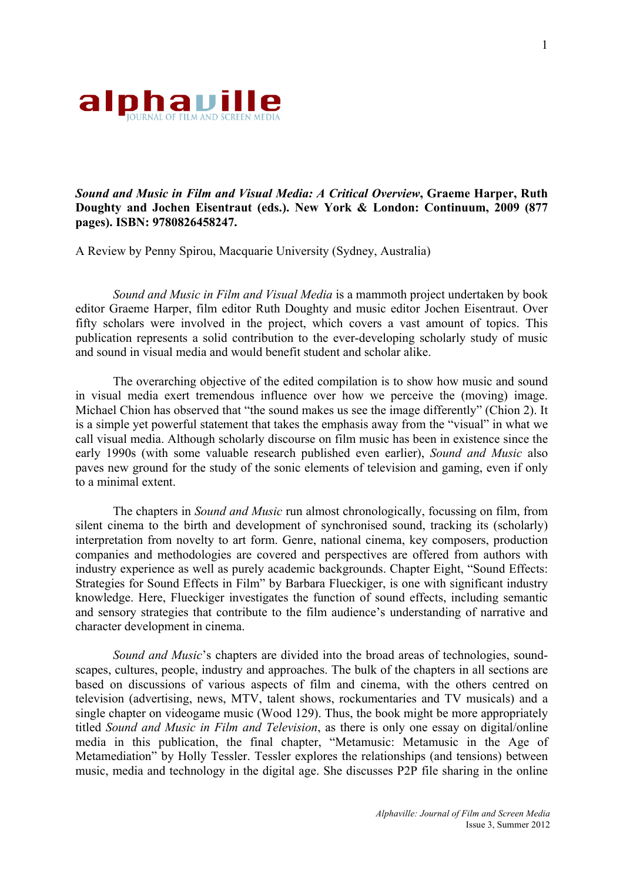

## *Sound and Music in Film and Visual Media: A Critical Overview***, Graeme Harper, Ruth Doughty and Jochen Eisentraut (eds.). New York & London: Continuum, 2009 (877 pages). ISBN: 9780826458247.**

A Review by Penny Spirou, Macquarie University (Sydney, Australia)

*Sound and Music in Film and Visual Media* is a mammoth project undertaken by book editor Graeme Harper, film editor Ruth Doughty and music editor Jochen Eisentraut. Over fifty scholars were involved in the project, which covers a vast amount of topics. This publication represents a solid contribution to the ever-developing scholarly study of music and sound in visual media and would benefit student and scholar alike.

The overarching objective of the edited compilation is to show how music and sound in visual media exert tremendous influence over how we perceive the (moving) image. Michael Chion has observed that "the sound makes us see the image differently" (Chion 2). It is a simple yet powerful statement that takes the emphasis away from the "visual" in what we call visual media. Although scholarly discourse on film music has been in existence since the early 1990s (with some valuable research published even earlier), *Sound and Music* also paves new ground for the study of the sonic elements of television and gaming, even if only to a minimal extent.

The chapters in *Sound and Music* run almost chronologically, focussing on film, from silent cinema to the birth and development of synchronised sound, tracking its (scholarly) interpretation from novelty to art form. Genre, national cinema, key composers, production companies and methodologies are covered and perspectives are offered from authors with industry experience as well as purely academic backgrounds. Chapter Eight, "Sound Effects: Strategies for Sound Effects in Film" by Barbara Flueckiger, is one with significant industry knowledge. Here, Flueckiger investigates the function of sound effects, including semantic and sensory strategies that contribute to the film audience's understanding of narrative and character development in cinema.

*Sound and Music*'s chapters are divided into the broad areas of technologies, soundscapes, cultures, people, industry and approaches. The bulk of the chapters in all sections are based on discussions of various aspects of film and cinema, with the others centred on television (advertising, news, MTV, talent shows, rockumentaries and TV musicals) and a single chapter on videogame music (Wood 129). Thus, the book might be more appropriately titled *Sound and Music in Film and Television*, as there is only one essay on digital/online media in this publication, the final chapter, "Metamusic: Metamusic in the Age of Metamediation" by Holly Tessler. Tessler explores the relationships (and tensions) between music, media and technology in the digital age. She discusses P2P file sharing in the online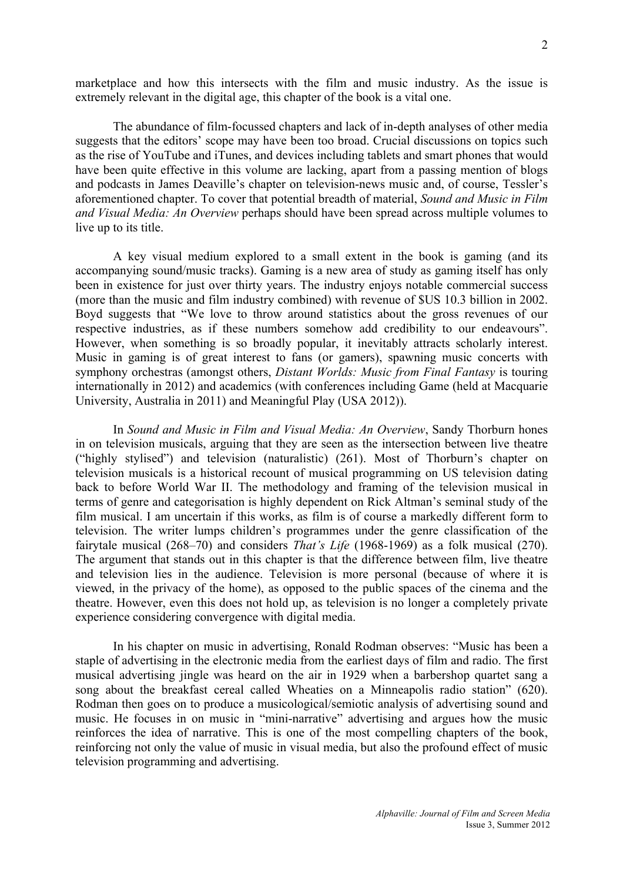marketplace and how this intersects with the film and music industry. As the issue is extremely relevant in the digital age, this chapter of the book is a vital one.

The abundance of film-focussed chapters and lack of in-depth analyses of other media suggests that the editors' scope may have been too broad. Crucial discussions on topics such as the rise of YouTube and iTunes, and devices including tablets and smart phones that would have been quite effective in this volume are lacking, apart from a passing mention of blogs and podcasts in James Deaville's chapter on television-news music and, of course, Tessler's aforementioned chapter. To cover that potential breadth of material, *Sound and Music in Film and Visual Media: An Overview* perhaps should have been spread across multiple volumes to live up to its title.

A key visual medium explored to a small extent in the book is gaming (and its accompanying sound/music tracks). Gaming is a new area of study as gaming itself has only been in existence for just over thirty years. The industry enjoys notable commercial success (more than the music and film industry combined) with revenue of \$US 10.3 billion in 2002. Boyd suggests that "We love to throw around statistics about the gross revenues of our respective industries, as if these numbers somehow add credibility to our endeavours". However, when something is so broadly popular, it inevitably attracts scholarly interest. Music in gaming is of great interest to fans (or gamers), spawning music concerts with symphony orchestras (amongst others, *Distant Worlds: Music from Final Fantasy* is touring internationally in 2012) and academics (with conferences including Game (held at Macquarie University, Australia in 2011) and Meaningful Play (USA 2012)).

In *Sound and Music in Film and Visual Media: An Overview*, Sandy Thorburn hones in on television musicals, arguing that they are seen as the intersection between live theatre ("highly stylised") and television (naturalistic) (261). Most of Thorburn's chapter on television musicals is a historical recount of musical programming on US television dating back to before World War II. The methodology and framing of the television musical in terms of genre and categorisation is highly dependent on Rick Altman's seminal study of the film musical. I am uncertain if this works, as film is of course a markedly different form to television. The writer lumps children's programmes under the genre classification of the fairytale musical (268–70) and considers *That's Life* (1968-1969) as a folk musical (270). The argument that stands out in this chapter is that the difference between film, live theatre and television lies in the audience. Television is more personal (because of where it is viewed, in the privacy of the home), as opposed to the public spaces of the cinema and the theatre. However, even this does not hold up, as television is no longer a completely private experience considering convergence with digital media.

In his chapter on music in advertising, Ronald Rodman observes: "Music has been a staple of advertising in the electronic media from the earliest days of film and radio. The first musical advertising jingle was heard on the air in 1929 when a barbershop quartet sang a song about the breakfast cereal called Wheaties on a Minneapolis radio station" (620). Rodman then goes on to produce a musicological/semiotic analysis of advertising sound and music. He focuses in on music in "mini-narrative" advertising and argues how the music reinforces the idea of narrative. This is one of the most compelling chapters of the book, reinforcing not only the value of music in visual media, but also the profound effect of music television programming and advertising.